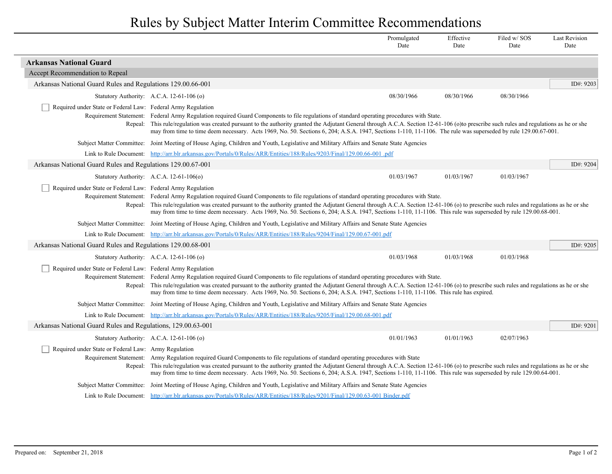## Rules by Subject Matter Interim Committee Recommendations

|                                                                         |                                                                                                                                                                                                                                                                                                                                                                                                                                                                                                          | Promulgated<br>Date | Effective<br>Date | Filed w/SOS<br>Date | <b>Last Revision</b><br>Date |
|-------------------------------------------------------------------------|----------------------------------------------------------------------------------------------------------------------------------------------------------------------------------------------------------------------------------------------------------------------------------------------------------------------------------------------------------------------------------------------------------------------------------------------------------------------------------------------------------|---------------------|-------------------|---------------------|------------------------------|
| <b>Arkansas National Guard</b>                                          |                                                                                                                                                                                                                                                                                                                                                                                                                                                                                                          |                     |                   |                     |                              |
| Accept Recommendation to Repeal                                         |                                                                                                                                                                                                                                                                                                                                                                                                                                                                                                          |                     |                   |                     |                              |
| Arkansas National Guard Rules and Regulations 129.00.66-001             |                                                                                                                                                                                                                                                                                                                                                                                                                                                                                                          |                     |                   |                     | ID#: 9203                    |
|                                                                         | Statutory Authority: A.C.A. 12-61-106 (o)                                                                                                                                                                                                                                                                                                                                                                                                                                                                | 08/30/1966          | 08/30/1966        | 08/30/1966          |                              |
| Required under State or Federal Law: Federal Army Regulation            | Requirement Statement: Federal Army Regulation required Guard Components to file regulations of standard operating procedures with State.<br>Repeal: This rule/regulation was created pursuant to the authority granted the Adjutant General through A.C.A. Section 12-61-106 (o) to prescribe such rules and regulations as he or she<br>may from time to time deem necessary. Acts 1969, No. 50. Sections 6, 204; A.S.A. 1947, Sections 1-110, 11-1106. The rule was superseded by rule 129.00.67-001. |                     |                   |                     |                              |
|                                                                         | Subject Matter Committee: Joint Meeting of House Aging, Children and Youth, Legislative and Military Affairs and Senate State Agencies                                                                                                                                                                                                                                                                                                                                                                   |                     |                   |                     |                              |
|                                                                         | Link to Rule Document: http://arr.blr.arkansas.gov/Portals/0/Rules/ARR/Entities/188/Rules/9203/Final/129.00.66-001.pdf                                                                                                                                                                                                                                                                                                                                                                                   |                     |                   |                     |                              |
| Arkansas National Guard Rules and Regulations 129.00.67-001             |                                                                                                                                                                                                                                                                                                                                                                                                                                                                                                          |                     |                   |                     | ID#: 9204                    |
|                                                                         | Statutory Authority: A.C.A. 12-61-106(o)                                                                                                                                                                                                                                                                                                                                                                                                                                                                 | 01/03/1967          | 01/03/1967        | 01/03/1967          |                              |
| Required under State or Federal Law: Federal Army Regulation<br>Repeal: | Requirement Statement: Federal Army Regulation required Guard Components to file regulations of standard operating procedures with State.<br>This rule/regulation was created pursuant to the authority granted the Adjutant General through A.C.A. Section 12-61-106 (o) to prescribe such rules and regulations as he or she<br>may from time to time deem necessary. Acts 1969, No. 50. Sections 6, 204; A.S.A. 1947, Sections 1-110, 11-1106. This rule was superseded by rule 129.00.68-001.        |                     |                   |                     |                              |
|                                                                         | Subject Matter Committee: Joint Meeting of House Aging, Children and Youth, Legislative and Military Affairs and Senate State Agencies                                                                                                                                                                                                                                                                                                                                                                   |                     |                   |                     |                              |
|                                                                         | Link to Rule Document: http://arr.blr.arkansas.gov/Portals/0/Rules/ARR/Entities/188/Rules/9204/Final/129.00.67-001.pdf                                                                                                                                                                                                                                                                                                                                                                                   |                     |                   |                     |                              |
| Arkansas National Guard Rules and Regulations 129.00.68-001             |                                                                                                                                                                                                                                                                                                                                                                                                                                                                                                          |                     |                   |                     | ID#: 9205                    |
|                                                                         | Statutory Authority: A.C.A. 12-61-106 (o)                                                                                                                                                                                                                                                                                                                                                                                                                                                                | 01/03/1968          | 01/03/1968        | 01/03/1968          |                              |
| Required under State or Federal Law: Federal Army Regulation            | Requirement Statement: Federal Army Regulation required Guard Components to file regulations of standard operating procedures with State.<br>Repeal: This rule/regulation was created pursuant to the authority granted the Adjutant General through A.C.A. Section 12-61-106 (o) to prescribe such rules and regulations as he or she<br>may from time to time deem necessary. Acts 1969, No. 50. Sections 6, 204; A.S.A. 1947, Sections 1-110, 11-1106. This rule has expired.                         |                     |                   |                     |                              |
|                                                                         | Subject Matter Committee: Joint Meeting of House Aging, Children and Youth, Legislative and Military Affairs and Senate State Agencies                                                                                                                                                                                                                                                                                                                                                                   |                     |                   |                     |                              |
|                                                                         | Link to Rule Document: http://arr.blr.arkansas.gov/Portals/0/Rules/ARR/Entities/188/Rules/9205/Final/129.00.68-001.pdf                                                                                                                                                                                                                                                                                                                                                                                   |                     |                   |                     |                              |
| Arkansas National Guard Rules and Regulations, 129.00.63-001            |                                                                                                                                                                                                                                                                                                                                                                                                                                                                                                          |                     |                   |                     | ID#: 9201                    |
|                                                                         | Statutory Authority: A.C.A. 12-61-106 (o)                                                                                                                                                                                                                                                                                                                                                                                                                                                                | 01/01/1963          | 01/01/1963        | 02/07/1963          |                              |
| Required under State or Federal Law: Army Regulation                    | Requirement Statement: Army Regulation required Guard Components to file regulations of standard operating procedures with State<br>Repeal: This rule/regulation was created pursuant to the authority granted the Adjutant General through A.C.A. Section 12-61-106 (o) to prescribe such rules and regulations as he or she<br>may from time to time deem necessary. Acts 1969, No. 50. Sections 6, 204; A.S.A. 1947, Sections 1-110, 11-1106. This rule was superseded by rule 129.00.64-001.         |                     |                   |                     |                              |
|                                                                         | Subject Matter Committee: Joint Meeting of House Aging, Children and Youth, Legislative and Military Affairs and Senate State Agencies                                                                                                                                                                                                                                                                                                                                                                   |                     |                   |                     |                              |
|                                                                         | Link to Rule Document: http://arr.blr.arkansas.gov/Portals/0/Rules/ARR/Entities/188/Rules/9201/Final/129.00.63-001 Binder.pdf                                                                                                                                                                                                                                                                                                                                                                            |                     |                   |                     |                              |